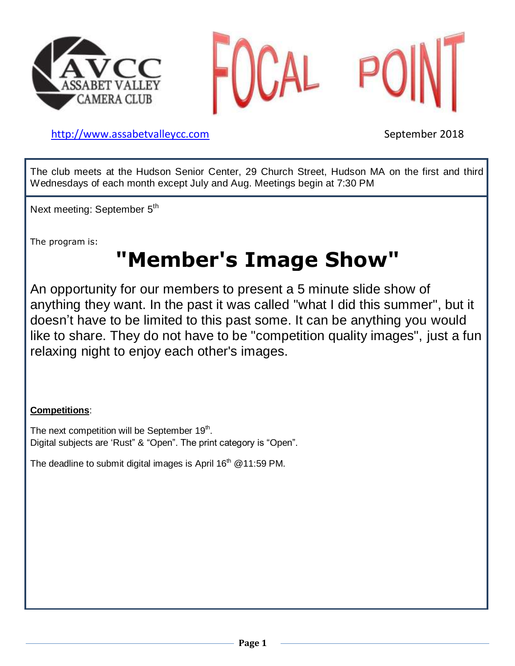



[http://www.assabetvalleyc](http://www.assabetvalley/)c.com September 2018

The club meets at the Hudson Senior Center, 29 Church Street, Hudson MA on the first and third Wednesdays of each month except July and Aug. Meetings begin at 7:30 PM

Next meeting: September 5<sup>th</sup>

The program is:

# **"Member's Image Show"**

An opportunity for our members to present a 5 minute slide show of anything they want. In the past it was called "what I did this summer", but it doesn't have to be limited to this past some. It can be anything you would like to share. They do not have to be "competition quality images", just a fun relaxing night to enjoy each other's images.

#### **Competitions**:

The next competition will be September 19<sup>th</sup>. Digital subjects are 'Rust" & "Open". The print category is "Open".

The deadline to submit digital images is April  $16<sup>th</sup>$  @ 11:59 PM.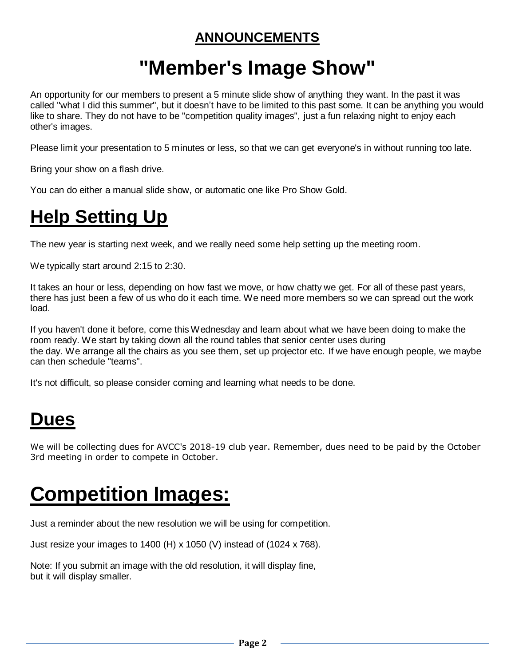#### **ANNOUNCEMENTS**

# **"Member's Image Show"**

An opportunity for our members to present a 5 minute slide show of anything they want. In the past it was called "what I did this summer", but it doesn't have to be limited to this past some. It can be anything you would like to share. They do not have to be "competition quality images", just a fun relaxing night to enjoy each other's images.

Please limit your presentation to 5 minutes or less, so that we can get everyone's in without running too late.

Bring your show on a flash drive.

You can do either a manual slide show, or automatic one like Pro Show Gold.

#### **Help Setting Up**

The new year is starting next week, and we really need some help setting up the meeting room.

We typically start around 2:15 to 2:30.

It takes an hour or less, depending on how fast we move, or how chatty we get. For all of these past years, there has just been a few of us who do it each time. We need more members so we can spread out the work load.

If you haven't done it before, come this Wednesday and learn about what we have been doing to make the room ready. We start by taking down all the round tables that senior center uses during the day. We arrange all the chairs as you see them, set up projector etc. If we have enough people, we maybe can then schedule "teams".

It's not difficult, so please consider coming and learning what needs to be done.

### **Dues**

We will be collecting dues for AVCC's 2018-19 club year. Remember, dues need to be paid by the October 3rd meeting in order to compete in October.

## **Competition Images:**

Just a reminder about the new resolution we will be using for competition.

Just resize your images to 1400 (H) x 1050 (V) instead of (1024 x 768).

Note: If you submit an image with the old resolution, it will display fine, but it will display smaller.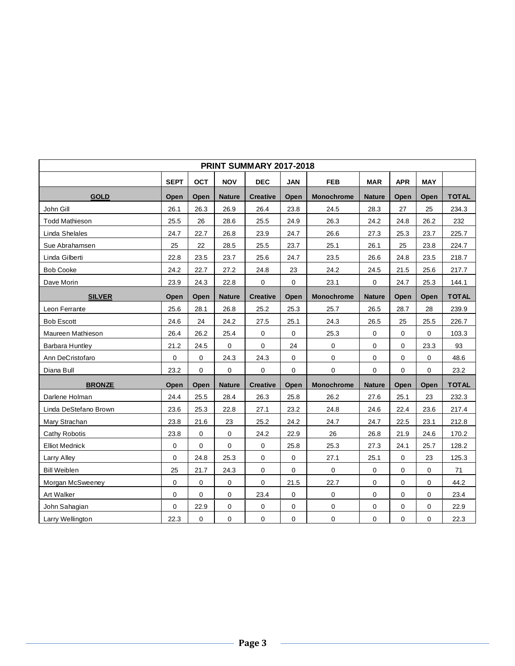| <b>PRINT SUMMARY 2017-2018</b> |                           |      |                              |                 |                          |                   |                          |              |             |              |  |  |  |
|--------------------------------|---------------------------|------|------------------------------|-----------------|--------------------------|-------------------|--------------------------|--------------|-------------|--------------|--|--|--|
|                                | <b>SEPT</b><br><b>OCT</b> |      | <b>NOV</b>                   | <b>DEC</b>      | <b>FEB</b><br><b>JAN</b> |                   | <b>APR</b><br><b>MAR</b> |              | <b>MAY</b>  |              |  |  |  |
| <b>GOLD</b>                    | Open                      | Open | <b>Nature</b>                | <b>Creative</b> | Open                     | <b>Monochrome</b> | <b>Nature</b>            | Open         | Open        | <b>TOTAL</b> |  |  |  |
| John Gill                      | 26.1                      | 26.3 | 26.9                         | 26.4            | 23.8                     | 24.5              | 28.3                     | 27           | 25          | 234.3        |  |  |  |
| <b>Todd Mathieson</b>          | 25.5                      | 26   | 28.6                         | 25.5            | 24.9                     | 26.3              | 24.2                     | 24.8         | 26.2        | 232          |  |  |  |
| Linda Shelales                 | 24.7                      | 22.7 | 26.8                         | 23.9            | 24.7                     | 26.6              | 27.3                     | 25.3         | 23.7        | 225.7        |  |  |  |
| Sue Abrahamsen                 | 25                        | 22   | 28.5<br>25.5<br>23.7<br>25.1 |                 |                          | 26.1              | 25                       | 23.8         | 224.7       |              |  |  |  |
| Linda Gilberti                 | 22.8                      | 23.5 | 23.7                         | 25.6            | 24.7                     | 23.5              |                          | 24.8         | 23.5        | 218.7        |  |  |  |
| <b>Bob Cooke</b>               | 24.2                      | 22.7 | 27.2                         | 24.8            | 23                       | 24.2              | 24.5                     | 21.5         | 25.6        | 217.7        |  |  |  |
| Dave Morin                     | 23.9                      | 24.3 | 22.8                         | 0               | $\Omega$                 | 23.1              | 0                        | 24.7<br>25.3 |             | 144.1        |  |  |  |
| <b>SILVER</b>                  | Open                      | Open | <b>Nature</b>                | <b>Creative</b> | Open                     | <b>Monochrome</b> | <b>Nature</b>            | Open         | Open        | <b>TOTAL</b> |  |  |  |
| Leon Ferrante                  | 25.6                      | 28.1 | 26.8                         | 25.2            | 25.3                     | 25.7              | 26.5                     | 28.7         | 28          | 239.9        |  |  |  |
| <b>Bob Escott</b>              | 24.6                      | 24   | 24.2                         | 27.5            | 25.1                     | 24.3              | 26.5                     | 25           | 25.5        | 226.7        |  |  |  |
| Maureen Mathieson              | 26.4                      | 26.2 | 25.4                         | 0               | 0                        | 25.3              | 0                        | 0            | $\mathbf 0$ | 103.3        |  |  |  |
| <b>Barbara Huntley</b>         | 21.2                      | 24.5 | $\mathbf 0$                  | 0               | 24                       | 0                 | 0                        | 0            | 23.3        | 93           |  |  |  |
| Ann DeCristofaro               | 0                         | 0    | 24.3                         | 24.3            | 0                        | 0                 | 0                        | 0            | 0           | 48.6         |  |  |  |
| Diana Bull                     | 23.2                      | 0    | $\mathbf 0$                  | 0               | $\mathbf 0$              | $\mathbf 0$       | 0                        | 0            | 0           | 23.2         |  |  |  |
| <b>BRONZE</b>                  | Open                      | Open | <b>Nature</b>                | <b>Creative</b> | Open                     | <b>Monochrome</b> | <b>Nature</b>            | Open         | Open        | <b>TOTAL</b> |  |  |  |
| Darlene Holman                 | 24.4                      | 25.5 | 28.4                         | 26.3            | 25.8                     | 26.2              | 27.6                     | 25.1         | 23          | 232.3        |  |  |  |
| Linda DeStefano Brown          | 23.6                      | 25.3 | 22.8                         | 27.1            | 23.2                     | 24.8              | 24.6                     | 22.4         | 23.6        | 217.4        |  |  |  |
| Mary Strachan                  | 23.8                      | 21.6 | 23                           | 25.2            | 24.2                     | 24.7              | 24.7                     | 22.5         | 23.1        | 212.8        |  |  |  |
| <b>Cathy Robotis</b>           | 23.8                      | 0    | $\mathbf 0$                  | 24.2            | 22.9                     | 26                | 26.8                     | 21.9         | 24.6        | 170.2        |  |  |  |
| <b>Elliot Mednick</b>          | $\mathbf 0$               | 0    | $\mathbf 0$                  | 0               | 25.8                     | 25.3              | 27.3                     | 24.1         | 25.7        | 128.2        |  |  |  |
| Larry Alley                    | 0                         | 24.8 | 25.3                         | 0               | 0                        | 27.1              | 25.1                     | 0            | 23          | 125.3        |  |  |  |
| <b>Bill Weiblen</b>            | 25                        | 21.7 | 24.3                         | 0               | $\mathbf 0$              | 0                 | 0                        | 0            | $\mathbf 0$ | 71           |  |  |  |
| Morgan McSweeney               | 0                         | 0    | $\pmb{0}$                    | 0               | 21.5                     | 22.7              | 0                        | 0            | 0           | 44.2         |  |  |  |
| Art Walker                     | 0                         | 0    | $\mathbf 0$                  | 23.4            | $\mathbf 0$              | 0                 | 0                        | 0            | 0           | 23.4         |  |  |  |
| John Sahagian                  | 0                         | 22.9 | 0                            | 0               | 0                        | 0                 | 0                        | 0            | 0           | 22.9         |  |  |  |
| Larry Wellington               | 22.3                      | 0    | 0                            | $\pmb{0}$       | 0                        | 0                 | 0                        | 0            | 0           | 22.3         |  |  |  |